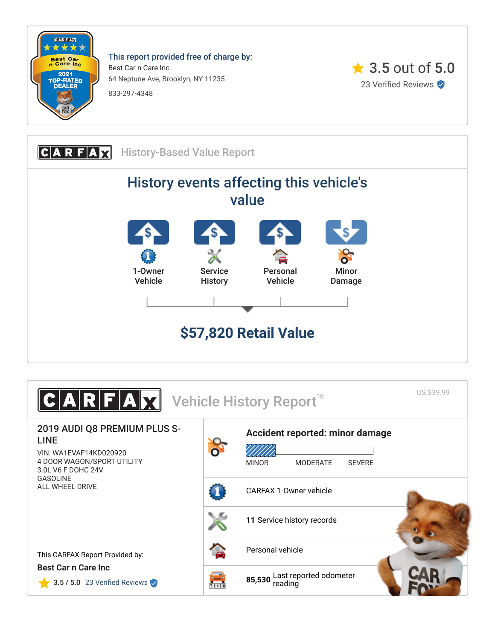

This report provided free of charge by: Best Car n Care Inc 64 Neptune Ave, Brooklyn, NY 11235 833-297-4348





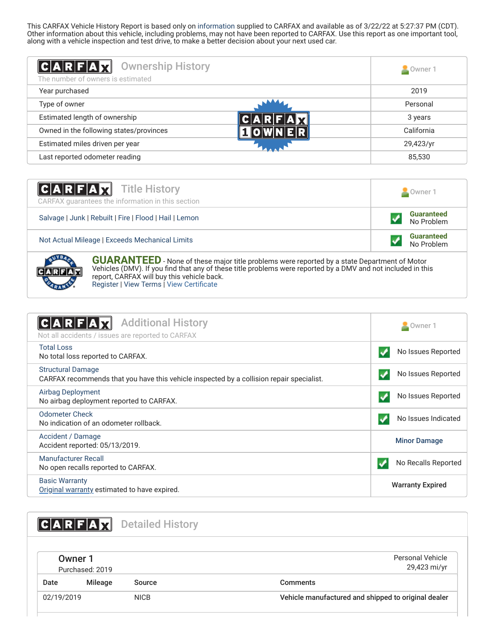This CARFAX Vehicle History Report is based only on [information](http://www.carfax.com/company/vhr-data-sources) supplied to CARFAX and available as of 3/22/22 at 5:27:37 PM (CDT). Other information about this vehicle, including problems, may not have been reported to CARFAX. Use this report as one important tool, along with a vehicle inspection and test drive, to make a better decision about your next used car.

<span id="page-1-1"></span>

| $ C $ A $ R F $ A $ x $<br><b>Ownership History</b><br>The number of owners is estimated | Owner 1    |
|------------------------------------------------------------------------------------------|------------|
| Year purchased                                                                           | 2019       |
| Type of owner                                                                            | Personal   |
| Estimated length of ownership                                                            | 3 years    |
| Owned in the following states/provinces                                                  | California |
| Estimated miles driven per year                                                          | 29,423/yr  |
| Last reported odometer reading                                                           | 85,530     |

| <b>CARFAX</b> Title History<br>CARFAX guarantees the information in this section | Owner 1                         |  |
|----------------------------------------------------------------------------------|---------------------------------|--|
| Salvage   Junk   Rebuilt   Fire   Flood   Hail   Lemon                           | <b>Guaranteed</b><br>No Problem |  |
| Not Actual Mileage   Exceeds Mechanical Limits                                   | <b>Guaranteed</b><br>No Problem |  |



**GUARANTEED** - None of these major title problems were reported by a state Department of Motor Vehicles (DMV). If you find that any of these title problems were reported by a DMV and not included in this report, CARFAX will buy this vehicle back. [Register](https://www.carfax.com/Service/bbg) | [View Terms](http://www.carfaxonline.com/legal/bbgTerms) | [View Certificate](https://www.carfaxonline.com/vhrs/WA1EVAF14KD020920)

<span id="page-1-0"></span>

| <b>Additional History</b><br>C A R F A <br>Not all accidents / issues are reported to CARFAX                         | Owner 1                 |
|----------------------------------------------------------------------------------------------------------------------|-------------------------|
| <b>Total Loss</b><br>No total loss reported to CARFAX.                                                               | No Issues Reported      |
| <b>Structural Damage</b><br>CARFAX recommends that you have this vehicle inspected by a collision repair specialist. | No Issues Reported      |
| <b>Airbag Deployment</b><br>No airbag deployment reported to CARFAX.                                                 | No Issues Reported      |
| <b>Odometer Check</b><br>No indication of an odometer rollback.                                                      | No Issues Indicated     |
| Accident / Damage<br>Accident reported: 05/13/2019.                                                                  | <b>Minor Damage</b>     |
| Manufacturer Recall<br>No open recalls reported to CARFAX.                                                           | No Recalls Reported     |
| <b>Basic Warranty</b><br>Original warranty estimated to have expired.                                                | <b>Warranty Expired</b> |

<span id="page-1-3"></span><span id="page-1-2"></span>

|            | $A$ $R$ $F$ $A$ $T$        | <b>Detailed History</b> |                                                     |
|------------|----------------------------|-------------------------|-----------------------------------------------------|
|            | Owner 1<br>Purchased: 2019 |                         | Personal Vehicle<br>29,423 mi/yr                    |
| Date       | Mileage                    | Source                  | <b>Comments</b>                                     |
| 02/19/2019 |                            | <b>NICB</b>             | Vehicle manufactured and shipped to original dealer |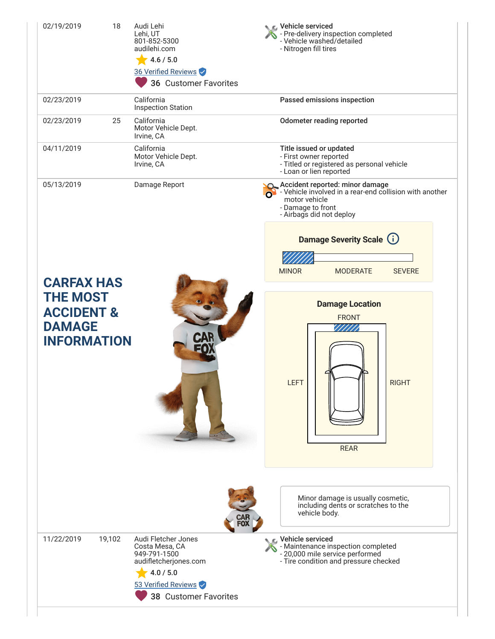| 02/19/2019                                                                      | 18     | Audi Lehi<br>Lehi. UT<br>801-852-5300<br>audilehi.com<br>4.6 / 5.0<br>36 Verified Reviews<br>36 Customer Favorites | C Vehicle serviced<br>- Pre-delivery inspection completed<br>- Vehicle washed/detailed<br>- Nitrogen fill tires                                                                        |  |  |
|---------------------------------------------------------------------------------|--------|--------------------------------------------------------------------------------------------------------------------|----------------------------------------------------------------------------------------------------------------------------------------------------------------------------------------|--|--|
| 02/23/2019                                                                      |        | California<br><b>Inspection Station</b>                                                                            | Passed emissions inspection                                                                                                                                                            |  |  |
| 02/23/2019                                                                      | 25     | California<br>Motor Vehicle Dept.<br>Irvine, CA                                                                    | <b>Odometer reading reported</b>                                                                                                                                                       |  |  |
| 04/11/2019                                                                      |        | California<br>Motor Vehicle Dept.<br>Irvine, CA                                                                    | Title issued or updated<br>- First owner reported<br>- Titled or registered as personal vehicle<br>- Loan or lien reported                                                             |  |  |
| 05/13/2019                                                                      |        | Damage Report                                                                                                      | Accident reported: minor damage<br>S - Vehicle involved in a rear-end collision with another<br>motor vehicle<br>- Damage to front<br>- Airbags did not deploy                         |  |  |
|                                                                                 |        |                                                                                                                    | <b>Damage Severity Scale (i)</b>                                                                                                                                                       |  |  |
| <b>CARFAX HAS</b>                                                               |        |                                                                                                                    | <b>MINOR</b><br><b>MODERATE</b><br><b>SEVERE</b>                                                                                                                                       |  |  |
| <b>THE MOST</b><br><b>ACCIDENT &amp;</b><br><b>DAMAGE</b><br><b>INFORMATION</b> |        |                                                                                                                    | <b>Damage Location</b><br><b>FRONT</b><br><b>LEFT</b><br><b>RIGHT</b><br><b>REAR</b>                                                                                                   |  |  |
| 11/22/2019                                                                      | 19,102 | Audi Fletcher Jones<br>Costa Mesa, CA<br>949-791-1500                                                              | Minor damage is usually cosmetic,<br>including dents or scratches to the<br>vehicle body.<br>Vehicle serviced<br>- Maintenance inspection completed<br>- 20,000 mile service performed |  |  |
|                                                                                 |        | audifletcherjones.com<br>4.0 / 5.0<br>53 Verified Reviews<br>38 Customer Favorites                                 | - Tire condition and pressure checked                                                                                                                                                  |  |  |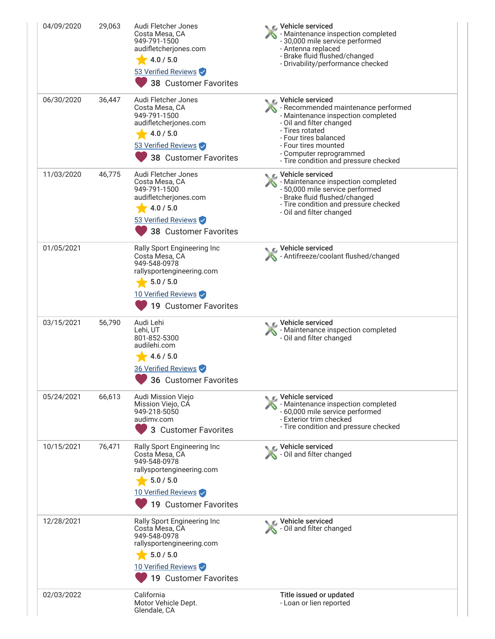| 04/09/2020 | 29,063 | Audi Fletcher Jones<br>Costa Mesa, CA<br>949-791-1500<br>audifletcherjones.com<br>4.0 / 5.0<br>53 Verified Reviews<br>38 Customer Favorites             | ic⊾ Vehicle serviced<br>- Maintenance inspection completed<br>- 30,000 mile service performed<br>- Antenna replaced<br>- Brake fluid flushed/changed<br>- Drivability/performance checked                                                                           |
|------------|--------|---------------------------------------------------------------------------------------------------------------------------------------------------------|---------------------------------------------------------------------------------------------------------------------------------------------------------------------------------------------------------------------------------------------------------------------|
| 06/30/2020 | 36,447 | Audi Fletcher Jones<br>Costa Mesa, CA<br>949-791-1500<br>audifletcherjones.com<br>4.0 / 5.0<br>53 Verified Reviews<br>38 Customer Favorites             | C Vehicle serviced<br>- Recommended maintenance performed<br>- Maintenance inspection completed<br>- Oil and filter changed<br>- Tires rotated<br>- Four tires balanced<br>- Four tires mounted<br>- Computer reprogrammed<br>- Tire condition and pressure checked |
| 11/03/2020 | 46,775 | Audi Fletcher Jones<br>Costa Mesa, CA<br>949-791-1500<br>audifletcherjones.com<br>4.0 / 5.0<br>53 Verified Reviews<br>38 Customer Favorites             | Vehicle serviced<br>- Maintenance inspection completed<br>- 50,000 mile service performed<br>- Brake fluid flushed/changed<br>- Tire condition and pressure checked<br>- Oil and filter changed                                                                     |
| 01/05/2021 |        | Rally Sport Engineering Inc<br>Costa Mesa, CA<br>949-548-0978<br>rallysportengineering.com<br>5.0 / 5.0<br>10 Verified Reviews<br>19 Customer Favorites | ९ Vehicle serviced<br>Antifreeze/coolant flushed/changed                                                                                                                                                                                                            |
| 03/15/2021 | 56,790 | Audi Lehi<br>Lehi, UT<br>801-852-5300<br>audilehi.com<br>4.6 / 5.0<br>36 Verified Reviews<br>36 Customer Favorites                                      | Vehicle serviced<br>Maintenance inspection completed<br>- Oil and filter changed                                                                                                                                                                                    |
| 05/24/2021 | 66,613 | Audi Mission Viejo<br>Mission Viejo, CA<br>949-218-5050<br>audimv.com<br>3 Customer Favorites                                                           | ic⊾ Vehicle serviced<br>- Maintenance inspection completed<br>- 60,000 mile service performed<br>- Exterior trim checked<br>- Tire condition and pressure checked                                                                                                   |
| 10/15/2021 | 76,471 | Rally Sport Engineering Inc<br>Costa Mesa, CA<br>949-548-0978<br>rallysportengineering.com<br>5.0 / 5.0<br>10 Verified Reviews<br>19 Customer Favorites | Vehicle serviced<br>- Oil and filter changed                                                                                                                                                                                                                        |
| 12/28/2021 |        | Rally Sport Engineering Inc<br>Costa Mesa, CA<br>949-548-0978<br>rallysportengineering.com<br>5.0 / 5.0<br>10 Verified Reviews<br>19 Customer Favorites | Vehicle serviced<br>S - Oil and filter changed                                                                                                                                                                                                                      |
| 02/03/2022 |        | California<br>Motor Vehicle Dept.<br>Glendale, CA                                                                                                       | Title issued or updated<br>- Loan or lien reported                                                                                                                                                                                                                  |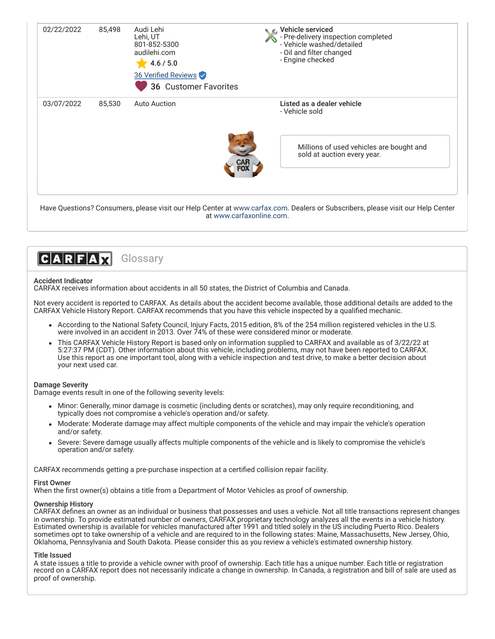

at [www.carfaxonline.com.](http://www.carfaxonline.com/)



## Accident Indicator

CARFAX receives information about accidents in all 50 states, the District of Columbia and Canada.

Not every accident is reported to CARFAX. As details about the accident become available, those additional details are added to the CARFAX Vehicle History Report. CARFAX recommends that you have this vehicle inspected by a qualified mechanic.

- According to the National Safety Council, Injury Facts, 2015 edition, 8% of the 254 million registered vehicles in the U.S. were involved in an accident in 2013. Over 74% of these were considered minor or moderate.
- This CARFAX Vehicle History Report is based only on information supplied to CARFAX and available as of 3/22/22 at 5:27:37 PM (CDT). Other information about this vehicle, including problems, may not have been reported to CARFAX. Use this report as one important tool, along with a vehicle inspection and test drive, to make a better decision about your next used car.

# Damage Severity

Damage events result in one of the following severity levels:

- Minor: Generally, minor damage is cosmetic (including dents or scratches), may only require reconditioning, and typically does not compromise a vehicle's operation and/or safety.
- Moderate: Moderate damage may affect multiple components of the vehicle and may impair the vehicle's operation and/or safety.
- Severe: Severe damage usually affects multiple components of the vehicle and is likely to compromise the vehicle's operation and/or safety.

CARFAX recommends getting a pre-purchase inspection at a certified collision repair facility.

### First Owner

When the first owner(s) obtains a title from a Department of Motor Vehicles as proof of ownership.

### Ownership History

CARFAX defines an owner as an individual or business that possesses and uses a vehicle. Not all title transactions represent changes in ownership. To provide estimated number of owners, CARFAX proprietary technology analyzes all the events in a vehicle history. Estimated ownership is available for vehicles manufactured after 1991 and titled solely in the US including Puerto Rico. Dealers sometimes opt to take ownership of a vehicle and are required to in the following states: Maine, Massachusetts, New Jersey, Ohio, Oklahoma, Pennsylvania and South Dakota. Please consider this as you review a vehicle's estimated ownership history.

### Title Issued

A state issues a title to provide a vehicle owner with proof of ownership. Each title has a unique number. Each title or registration record on a CARFAX report does not necessarily indicate a change in ownership. In Canada, a registration and bill of sale are used as proof of ownership.